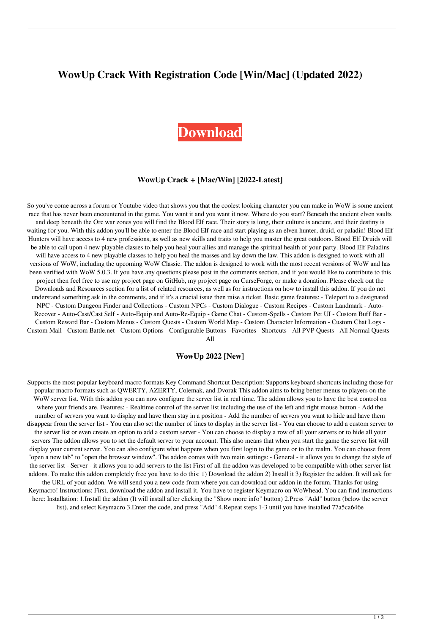# **WowUp Crack With Registration Code [Win/Mac] (Updated 2022)**

# **[Download](http://evacdir.com/bunol/V293VXAV29/hypnotherapy/makino?ZG93bmxvYWR8NmFLTTJOcWFIeDhNVFkxTkRVeU1qRXhNSHg4TWpVM05IeDhLRTBwSUhKbFlXUXRZbXh2WnlCYlJtRnpkQ0JIUlU1ZA=monolingual&rowed=&skidding=rewets)**

#### **WowUp Crack + [Mac/Win] [2022-Latest]**

So you've come across a forum or Youtube video that shows you that the coolest looking character you can make in WoW is some ancient race that has never been encountered in the game. You want it and you want it now. Where do you start? Beneath the ancient elven vaults and deep beneath the Orc war zones you will find the Blood Elf race. Their story is long, their culture is ancient, and their destiny is waiting for you. With this addon you'll be able to enter the Blood Elf race and start playing as an elven hunter, druid, or paladin! Blood Elf Hunters will have access to 4 new professions, as well as new skills and traits to help you master the great outdoors. Blood Elf Druids will be able to call upon 4 new playable classes to help you heal your allies and manage the spiritual health of your party. Blood Elf Paladins will have access to 4 new playable classes to help you heal the masses and lay down the law. This addon is designed to work with all versions of WoW, including the upcoming WoW Classic. The addon is designed to work with the most recent versions of WoW and has been verified with WoW 5.0.3. If you have any questions please post in the comments section, and if you would like to contribute to this project then feel free to use my project page on GitHub, my project page on CurseForge, or make a donation. Please check out the Downloads and Resources section for a list of related resources, as well as for instructions on how to install this addon. If you do not understand something ask in the comments, and if it's a crucial issue then raise a ticket. Basic game features: - Teleport to a designated NPC - Custom Dungeon Finder and Collections - Custom NPCs - Custom Dialogue - Custom Recipes - Custom Landmark - Auto-Recover - Auto-Cast/Cast Self - Auto-Equip and Auto-Re-Equip - Game Chat - Custom-Spells - Custom Pet UI - Custom Buff Bar - Custom Reward Bar - Custom Menus - Custom Quests - Custom World Map - Custom Character Information - Custom Chat Logs - Custom Mail - Custom Battle.net - Custom Options - Configurable Buttons - Favorites - Shortcuts - All PVP Quests - All Normal Quests -

All

#### **WowUp 2022 [New]**

Supports the most popular keyboard macro formats Key Command Shortcut Description: Supports keyboard shortcuts including those for popular macro formats such as QWERTY, AZERTY, Colemak, and Dvorak This addon aims to bring better menus to players on the WoW server list. With this addon you can now configure the server list in real time. The addon allows you to have the best control on where your friends are. Features: - Realtime control of the server list including the use of the left and right mouse button - Add the number of servers you want to display and have them stay in a position - Add the number of servers you want to hide and have them disappear from the server list - You can also set the number of lines to display in the server list - You can choose to add a custom server to the server list or even create an option to add a custom server - You can choose to display a row of all your servers or to hide all your servers The addon allows you to set the default server to your account. This also means that when you start the game the server list will display your current server. You can also configure what happens when you first login to the game or to the realm. You can choose from "open a new tab" to "open the browser window". The addon comes with two main settings: - General - it allows you to change the style of the server list - Server - it allows you to add servers to the list First of all the addon was developed to be compatible with other server list addons. To make this addon completely free you have to do this: 1) Download the addon 2) Install it 3) Register the addon. It will ask for the URL of your addon. We will send you a new code from where you can download our addon in the forum. Thanks for using Keymacro! Instructions: First, download the addon and install it. You have to register Keymacro on WoWhead. You can find instructions here: Installation: 1.Install the addon (It will install after clicking the "Show more info" button) 2.Press "Add" button (below the server list), and select Keymacro 3.Enter the code, and press "Add" 4.Repeat steps 1-3 until you have installed 77a5ca646e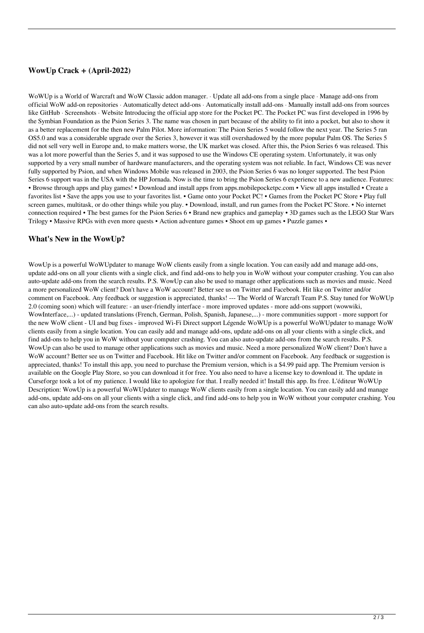## **WowUp Crack + (April-2022)**

WoWUp is a World of Warcraft and WoW Classic addon manager. · Update all add-ons from a single place · Manage add-ons from official WoW add-on repositories · Automatically detect add-ons · Automatically install add-ons · Manually install add-ons from sources like GitHub · Screenshots · Website Introducing the official app store for the Pocket PC. The Pocket PC was first developed in 1996 by the Symbian Foundation as the Psion Series 3. The name was chosen in part because of the ability to fit into a pocket, but also to show it as a better replacement for the then new Palm Pilot. More information: The Psion Series 5 would follow the next year. The Series 5 ran OS5.0 and was a considerable upgrade over the Series 3, however it was still overshadowed by the more popular Palm OS. The Series 5 did not sell very well in Europe and, to make matters worse, the UK market was closed. After this, the Psion Series 6 was released. This was a lot more powerful than the Series 5, and it was supposed to use the Windows CE operating system. Unfortunately, it was only supported by a very small number of hardware manufacturers, and the operating system was not reliable. In fact, Windows CE was never fully supported by Psion, and when Windows Mobile was released in 2003, the Psion Series 6 was no longer supported. The best Psion Series 6 support was in the USA with the HP Jornada. Now is the time to bring the Psion Series 6 experience to a new audience. Features: • Browse through apps and play games! • Download and install apps from apps.mobilepocketpc.com • View all apps installed • Create a favorites list • Save the apps you use to your favorites list. • Game onto your Pocket PC! • Games from the Pocket PC Store • Play full screen games, multitask, or do other things while you play. • Download, install, and run games from the Pocket PC Store. • No internet connection required • The best games for the Psion Series 6 • Brand new graphics and gameplay • 3D games such as the LEGO Star Wars Trilogy • Massive RPGs with even more quests • Action adventure games • Shoot em up games • Puzzle games •

### **What's New in the WowUp?**

WowUp is a powerful WoWUpdater to manage WoW clients easily from a single location. You can easily add and manage add-ons, update add-ons on all your clients with a single click, and find add-ons to help you in WoW without your computer crashing. You can also auto-update add-ons from the search results. P.S. WowUp can also be used to manage other applications such as movies and music. Need a more personalized WoW client? Don't have a WoW account? Better see us on Twitter and Facebook. Hit like on Twitter and/or comment on Facebook. Any feedback or suggestion is appreciated, thanks! --- The World of Warcraft Team P.S. Stay tuned for WoWUp 2.0 (coming soon) which will feature: - an user-friendly interface - more improved updates - more add-ons support (wowwiki, WowInterface,...) - updated translations (French, German, Polish, Spanish, Japanese,...) - more communities support - more support for the new WoW client - UI and bug fixes - improved Wi-Fi Direct support Légende WoWUp is a powerful WoWUpdater to manage WoW clients easily from a single location. You can easily add and manage add-ons, update add-ons on all your clients with a single click, and find add-ons to help you in WoW without your computer crashing. You can also auto-update add-ons from the search results. P.S. WowUp can also be used to manage other applications such as movies and music. Need a more personalized WoW client? Don't have a WoW account? Better see us on Twitter and Facebook. Hit like on Twitter and/or comment on Facebook. Any feedback or suggestion is appreciated, thanks! To install this app, you need to purchase the Premium version, which is a \$4.99 paid app. The Premium version is available on the Google Play Store, so you can download it for free. You also need to have a license key to download it. The update in Curseforge took a lot of my patience. I would like to apologize for that. I really needed it! Install this app. Its free. L'éditeur WoWUp Description: WowUp is a powerful WoWUpdater to manage WoW clients easily from a single location. You can easily add and manage add-ons, update add-ons on all your clients with a single click, and find add-ons to help you in WoW without your computer crashing. You can also auto-update add-ons from the search results.